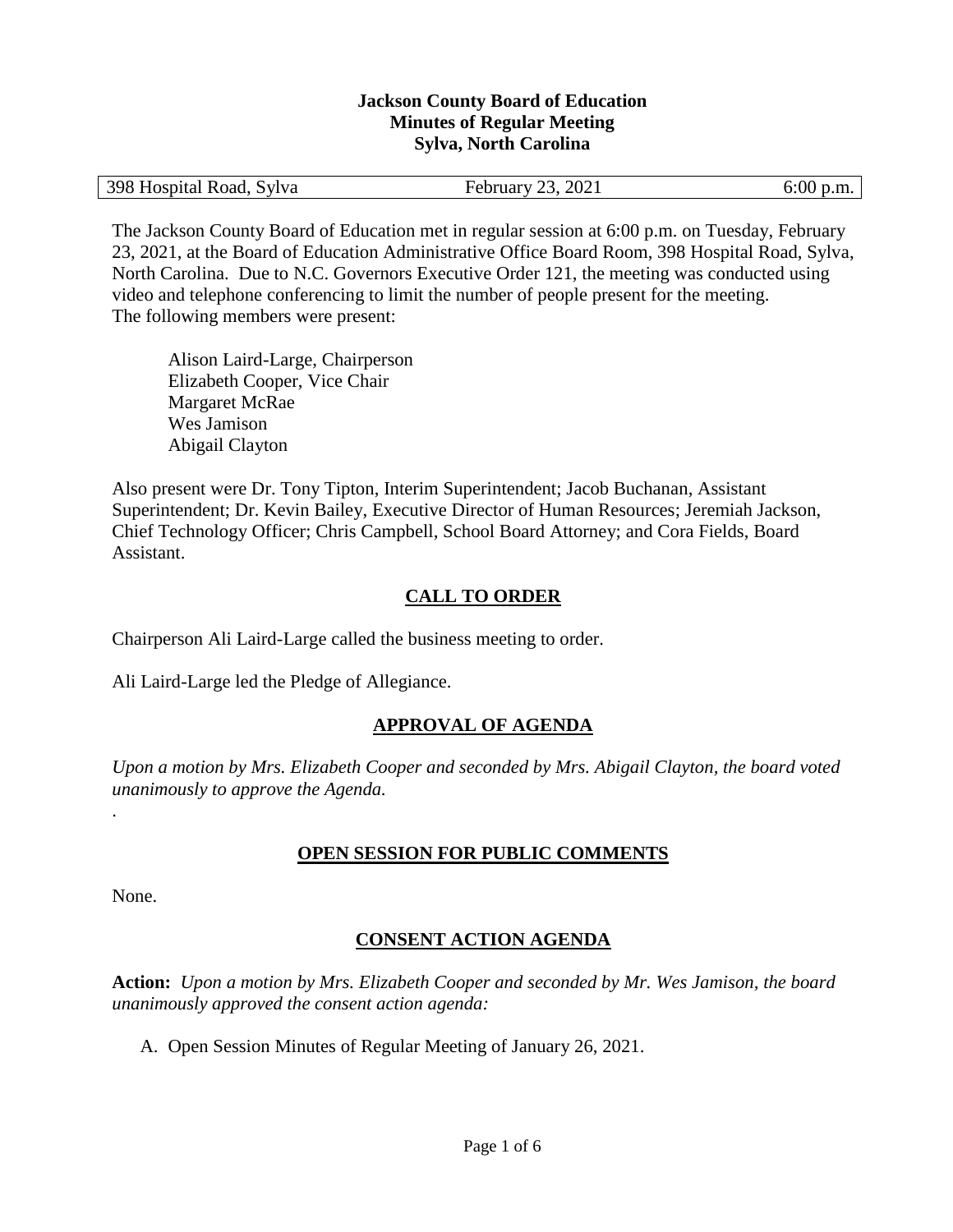### **Jackson County Board of Education Minutes of Regular Meeting Sylva, North Carolina**

| 398 Hospital Road, Sylva<br>2021<br>0.00<br>23.<br>February<br>D.III. |
|-----------------------------------------------------------------------|
|-----------------------------------------------------------------------|

The Jackson County Board of Education met in regular session at 6:00 p.m. on Tuesday, February 23, 2021, at the Board of Education Administrative Office Board Room, 398 Hospital Road, Sylva, North Carolina. Due to N.C. Governors Executive Order 121, the meeting was conducted using video and telephone conferencing to limit the number of people present for the meeting. The following members were present:

Alison Laird-Large, Chairperson Elizabeth Cooper, Vice Chair Margaret McRae Wes Jamison Abigail Clayton

Also present were Dr. Tony Tipton, Interim Superintendent; Jacob Buchanan, Assistant Superintendent; Dr. Kevin Bailey, Executive Director of Human Resources; Jeremiah Jackson, Chief Technology Officer; Chris Campbell, School Board Attorney; and Cora Fields, Board Assistant.

# **CALL TO ORDER**

Chairperson Ali Laird-Large called the business meeting to order.

Ali Laird-Large led the Pledge of Allegiance.

# **APPROVAL OF AGENDA**

*Upon a motion by Mrs. Elizabeth Cooper and seconded by Mrs. Abigail Clayton, the board voted unanimously to approve the Agenda.*

## **OPEN SESSION FOR PUBLIC COMMENTS**

None.

.

# **CONSENT ACTION AGENDA**

**Action:** *Upon a motion by Mrs. Elizabeth Cooper and seconded by Mr. Wes Jamison, the board unanimously approved the consent action agenda:*

A. Open Session Minutes of Regular Meeting of January 26, 2021.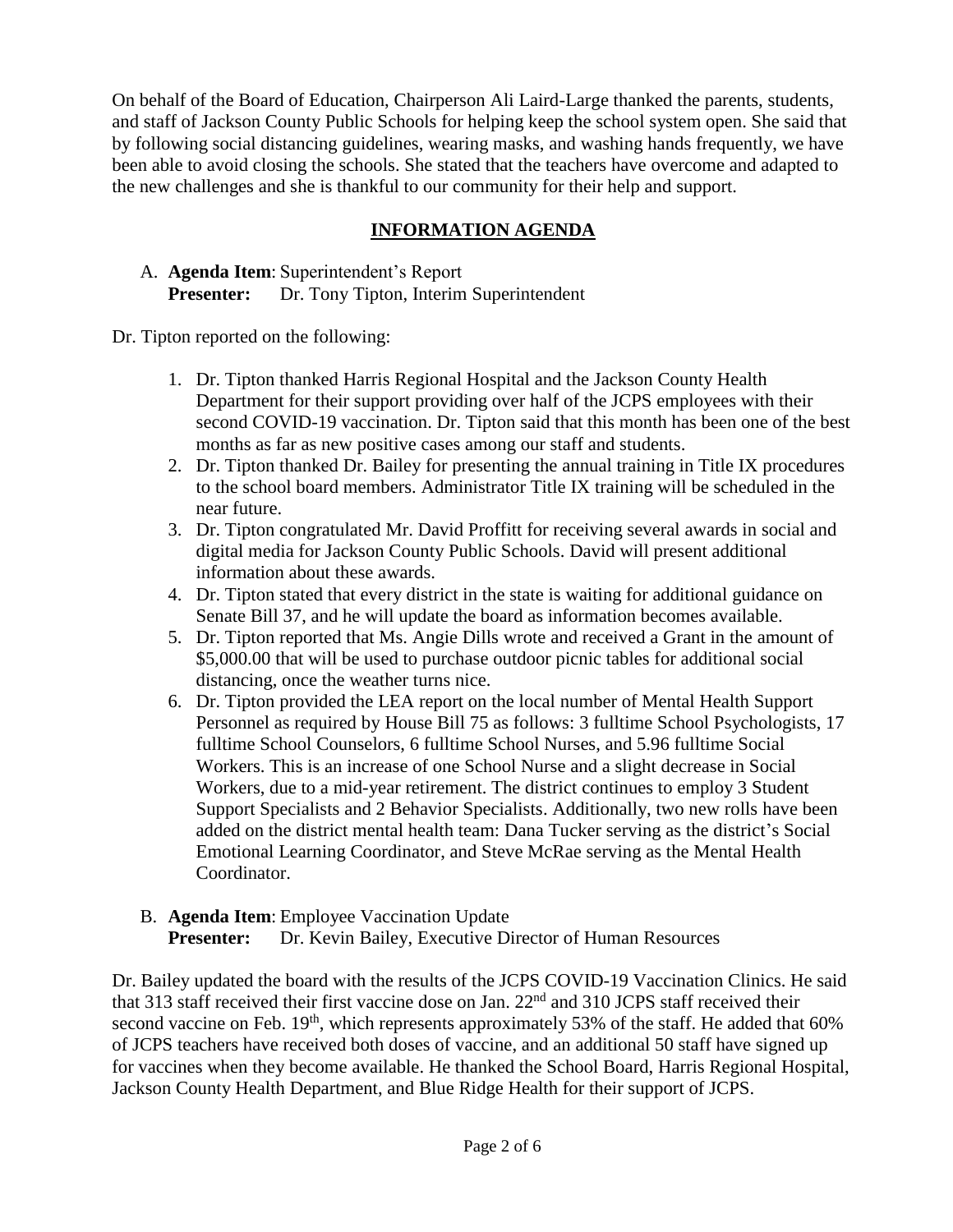On behalf of the Board of Education, Chairperson Ali Laird-Large thanked the parents, students, and staff of Jackson County Public Schools for helping keep the school system open. She said that by following social distancing guidelines, wearing masks, and washing hands frequently, we have been able to avoid closing the schools. She stated that the teachers have overcome and adapted to the new challenges and she is thankful to our community for their help and support.

# **INFORMATION AGENDA**

A. **Agenda Item**: Superintendent's Report **Presenter:** Dr. Tony Tipton, Interim Superintendent

Dr. Tipton reported on the following:

- 1. Dr. Tipton thanked Harris Regional Hospital and the Jackson County Health Department for their support providing over half of the JCPS employees with their second COVID-19 vaccination. Dr. Tipton said that this month has been one of the best months as far as new positive cases among our staff and students.
- 2. Dr. Tipton thanked Dr. Bailey for presenting the annual training in Title IX procedures to the school board members. Administrator Title IX training will be scheduled in the near future.
- 3. Dr. Tipton congratulated Mr. David Proffitt for receiving several awards in social and digital media for Jackson County Public Schools. David will present additional information about these awards.
- 4. Dr. Tipton stated that every district in the state is waiting for additional guidance on Senate Bill 37, and he will update the board as information becomes available.
- 5. Dr. Tipton reported that Ms. Angie Dills wrote and received a Grant in the amount of \$5,000.00 that will be used to purchase outdoor picnic tables for additional social distancing, once the weather turns nice.
- 6. Dr. Tipton provided the LEA report on the local number of Mental Health Support Personnel as required by House Bill 75 as follows: 3 fulltime School Psychologists, 17 fulltime School Counselors, 6 fulltime School Nurses, and 5.96 fulltime Social Workers. This is an increase of one School Nurse and a slight decrease in Social Workers, due to a mid-year retirement. The district continues to employ 3 Student Support Specialists and 2 Behavior Specialists. Additionally, two new rolls have been added on the district mental health team: Dana Tucker serving as the district's Social Emotional Learning Coordinator, and Steve McRae serving as the Mental Health Coordinator.

### B. **Agenda Item**: Employee Vaccination Update **Presenter:** Dr. Kevin Bailey, Executive Director of Human Resources

Dr. Bailey updated the board with the results of the JCPS COVID-19 Vaccination Clinics. He said that 313 staff received their first vaccine dose on Jan. 22<sup>nd</sup> and 310 JCPS staff received their second vaccine on Feb. 19<sup>th</sup>, which represents approximately 53% of the staff. He added that 60% of JCPS teachers have received both doses of vaccine, and an additional 50 staff have signed up for vaccines when they become available. He thanked the School Board, Harris Regional Hospital, Jackson County Health Department, and Blue Ridge Health for their support of JCPS.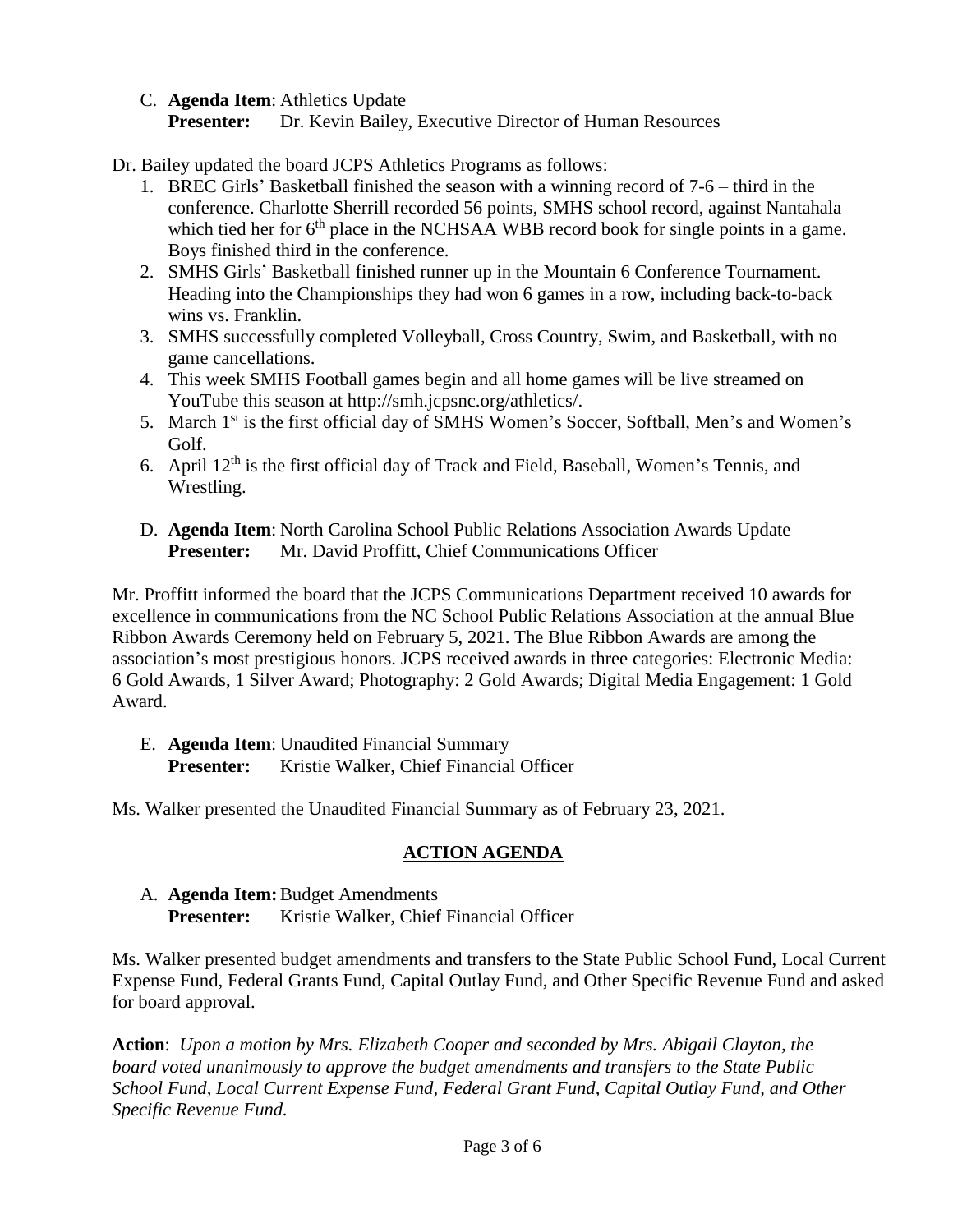C. **Agenda Item**: Athletics Update

**Presenter:** Dr. Kevin Bailey, Executive Director of Human Resources

Dr. Bailey updated the board JCPS Athletics Programs as follows:

- 1. BREC Girls' Basketball finished the season with a winning record of 7-6 third in the conference. Charlotte Sherrill recorded 56 points, SMHS school record, against Nantahala which tied her for  $6<sup>th</sup>$  place in the NCHSAA WBB record book for single points in a game. Boys finished third in the conference.
- 2. SMHS Girls' Basketball finished runner up in the Mountain 6 Conference Tournament. Heading into the Championships they had won 6 games in a row, including back-to-back wins vs. Franklin.
- 3. SMHS successfully completed Volleyball, Cross Country, Swim, and Basketball, with no game cancellations.
- 4. This week SMHS Football games begin and all home games will be live streamed on YouTube this season at http://smh.jcpsnc.org/athletics/.
- 5. March 1<sup>st</sup> is the first official day of SMHS Women's Soccer, Softball, Men's and Women's Golf.
- 6. April  $12<sup>th</sup>$  is the first official day of Track and Field, Baseball, Women's Tennis, and Wrestling.
- D. **Agenda Item**: North Carolina School Public Relations Association Awards Update **Presenter:** Mr. David Proffitt, Chief Communications Officer

Mr. Proffitt informed the board that the JCPS Communications Department received 10 awards for excellence in communications from the NC School Public Relations Association at the annual Blue Ribbon Awards Ceremony held on February 5, 2021. The Blue Ribbon Awards are among the association's most prestigious honors. JCPS received awards in three categories: Electronic Media: 6 Gold Awards, 1 Silver Award; Photography: 2 Gold Awards; Digital Media Engagement: 1 Gold Award.

E. **Agenda Item**: Unaudited Financial Summary Presenter: Kristie Walker, Chief Financial Officer

Ms. Walker presented the Unaudited Financial Summary as of February 23, 2021.

# **ACTION AGENDA**

A. **Agenda Item:**Budget Amendments **Presenter:** Kristie Walker, Chief Financial Officer

Ms. Walker presented budget amendments and transfers to the State Public School Fund, Local Current Expense Fund, Federal Grants Fund, Capital Outlay Fund, and Other Specific Revenue Fund and asked for board approval.

**Action**: *Upon a motion by Mrs. Elizabeth Cooper and seconded by Mrs. Abigail Clayton, the board voted unanimously to approve the budget amendments and transfers to the State Public School Fund, Local Current Expense Fund, Federal Grant Fund, Capital Outlay Fund, and Other Specific Revenue Fund.*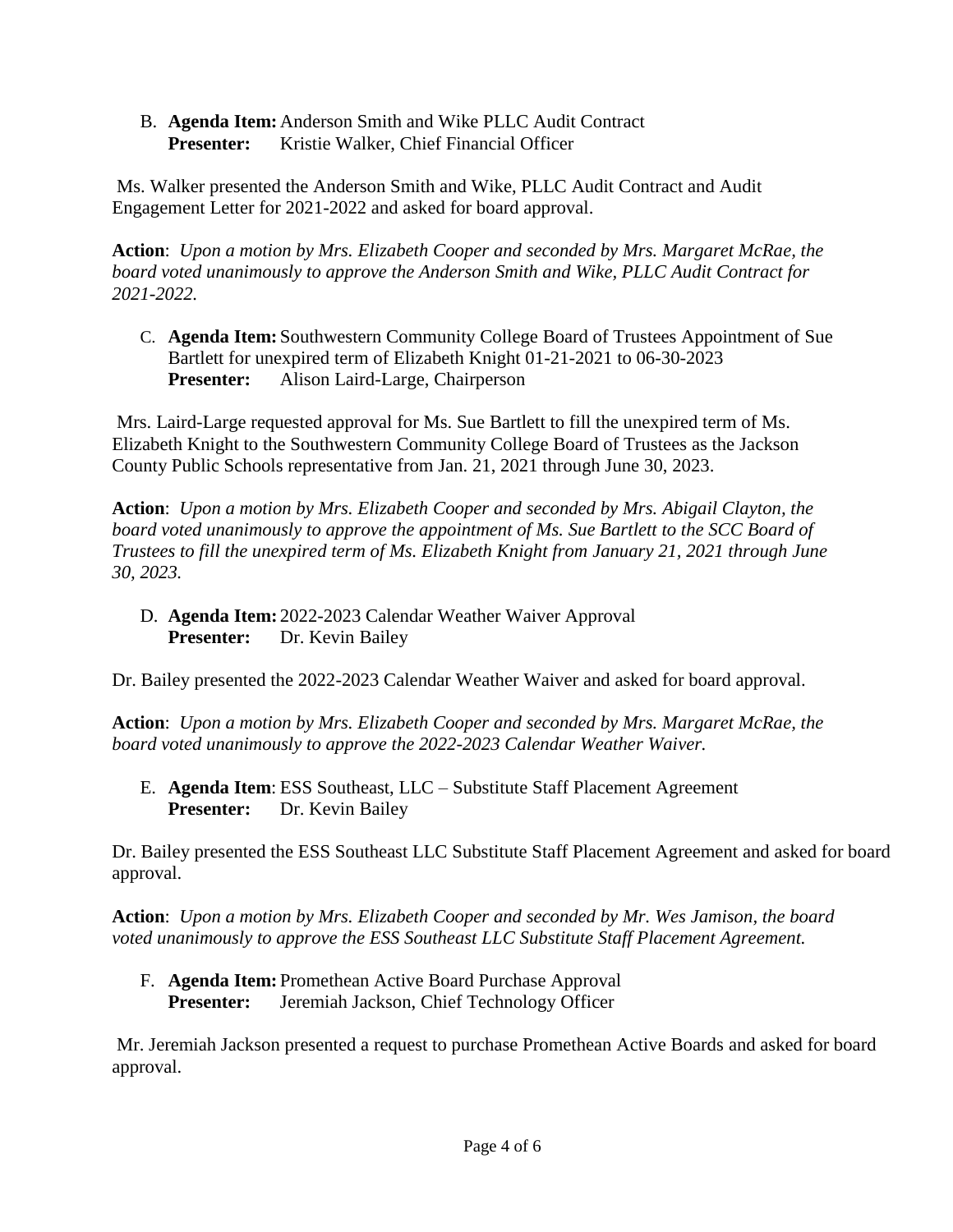B. **Agenda Item:** Anderson Smith and Wike PLLC Audit Contract **Presenter:** Kristie Walker, Chief Financial Officer

Ms. Walker presented the Anderson Smith and Wike, PLLC Audit Contract and Audit Engagement Letter for 2021-2022 and asked for board approval.

**Action**: *Upon a motion by Mrs. Elizabeth Cooper and seconded by Mrs. Margaret McRae, the board voted unanimously to approve the Anderson Smith and Wike, PLLC Audit Contract for 2021-2022.*

C. **Agenda Item:** Southwestern Community College Board of Trustees Appointment of Sue Bartlett for unexpired term of Elizabeth Knight 01-21-2021 to 06-30-2023 **Presenter:** Alison Laird-Large, Chairperson

Mrs. Laird-Large requested approval for Ms. Sue Bartlett to fill the unexpired term of Ms. Elizabeth Knight to the Southwestern Community College Board of Trustees as the Jackson County Public Schools representative from Jan. 21, 2021 through June 30, 2023.

**Action**: *Upon a motion by Mrs. Elizabeth Cooper and seconded by Mrs. Abigail Clayton, the board voted unanimously to approve the appointment of Ms. Sue Bartlett to the SCC Board of Trustees to fill the unexpired term of Ms. Elizabeth Knight from January 21, 2021 through June 30, 2023.*

D. **Agenda Item:** 2022-2023 Calendar Weather Waiver Approval **Presenter:** Dr. Kevin Bailey

Dr. Bailey presented the 2022-2023 Calendar Weather Waiver and asked for board approval.

**Action**: *Upon a motion by Mrs. Elizabeth Cooper and seconded by Mrs. Margaret McRae, the board voted unanimously to approve the 2022-2023 Calendar Weather Waiver.*

E. **Agenda Item**: ESS Southeast, LLC – Substitute Staff Placement Agreement **Presenter:** Dr. Kevin Bailey

Dr. Bailey presented the ESS Southeast LLC Substitute Staff Placement Agreement and asked for board approval.

**Action**: *Upon a motion by Mrs. Elizabeth Cooper and seconded by Mr. Wes Jamison, the board voted unanimously to approve the ESS Southeast LLC Substitute Staff Placement Agreement.*

F. **Agenda Item:** Promethean Active Board Purchase Approval **Presenter:** Jeremiah Jackson, Chief Technology Officer

Mr. Jeremiah Jackson presented a request to purchase Promethean Active Boards and asked for board approval.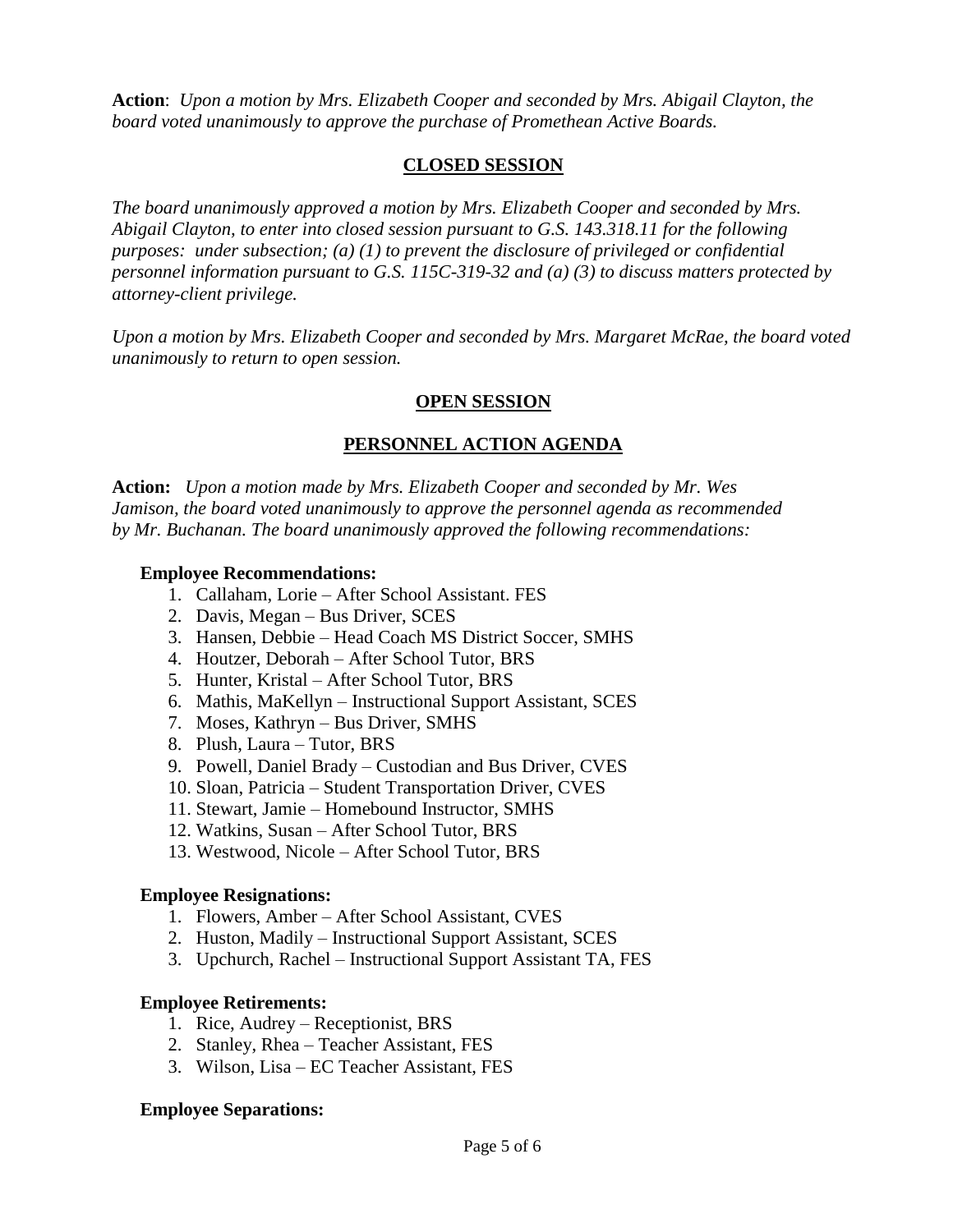**Action**: *Upon a motion by Mrs. Elizabeth Cooper and seconded by Mrs. Abigail Clayton, the board voted unanimously to approve the purchase of Promethean Active Boards.*

### **CLOSED SESSION**

*The board unanimously approved a motion by Mrs. Elizabeth Cooper and seconded by Mrs. Abigail Clayton, to enter into closed session pursuant to G.S. 143.318.11 for the following purposes: under subsection; (a) (1) to prevent the disclosure of privileged or confidential personnel information pursuant to G.S. 115C-319-32 and (a) (3) to discuss matters protected by attorney-client privilege.* 

*Upon a motion by Mrs. Elizabeth Cooper and seconded by Mrs. Margaret McRae, the board voted unanimously to return to open session.*

### **OPEN SESSION**

# **PERSONNEL ACTION AGENDA**

**Action:** *Upon a motion made by Mrs. Elizabeth Cooper and seconded by Mr. Wes Jamison, the board voted unanimously to approve the personnel agenda as recommended by Mr. Buchanan. The board unanimously approved the following recommendations:*

### **Employee Recommendations:**

- 1. Callaham, Lorie After School Assistant. FES
- 2. Davis, Megan Bus Driver, SCES
- 3. Hansen, Debbie Head Coach MS District Soccer, SMHS
- 4. Houtzer, Deborah After School Tutor, BRS
- 5. Hunter, Kristal After School Tutor, BRS
- 6. Mathis, MaKellyn Instructional Support Assistant, SCES
- 7. Moses, Kathryn Bus Driver, SMHS
- 8. Plush, Laura Tutor, BRS
- 9. Powell, Daniel Brady Custodian and Bus Driver, CVES
- 10. Sloan, Patricia Student Transportation Driver, CVES
- 11. Stewart, Jamie Homebound Instructor, SMHS
- 12. Watkins, Susan After School Tutor, BRS
- 13. Westwood, Nicole After School Tutor, BRS

#### **Employee Resignations:**

- 1. Flowers, Amber After School Assistant, CVES
- 2. Huston, Madily Instructional Support Assistant, SCES
- 3. Upchurch, Rachel Instructional Support Assistant TA, FES

#### **Employee Retirements:**

- 1. Rice, Audrey Receptionist, BRS
- 2. Stanley, Rhea Teacher Assistant, FES
- 3. Wilson, Lisa EC Teacher Assistant, FES

#### **Employee Separations:**